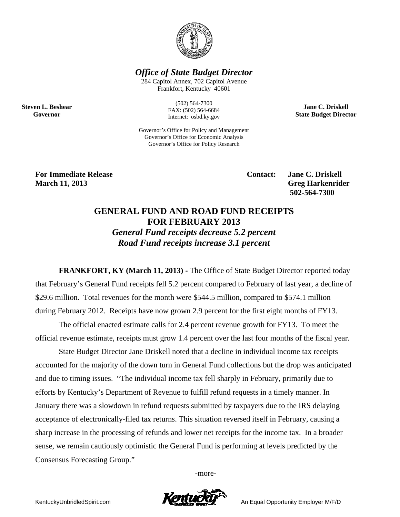

**Office of State Budget Director** 

284 Capitol Annex, 702 Capitol Avenue Frankfort, Kentucky 40601

> $(502) 564 - 7300$ FAX: (502) 564-6684 Internet: osbd.ky.gov

Governor's Office for Policy and Management Governor's Office for Economic Analysis Governor's Office for Policy Research

**Jane C. Driskell State Budget Director** 

**For Immediate Release March 11, 2013** 

**Steven L. Beshear** 

Governor

**Contact:** 

**Jane C. Driskell Greg Harkenrider** 502-564-7300

## **GENERAL FUND AND ROAD FUND RECEIPTS FOR FEBRUARY 2013 General Fund receipts decrease 5.2 percent** Road Fund receipts increase 3.1 percent

**FRANKFORT, KY (March 11, 2013) - The Office of State Budget Director reported today** that February's General Fund receipts fell 5.2 percent compared to February of last year, a decline of \$29.6 million. Total revenues for the month were \$544.5 million, compared to \$574.1 million during February 2012. Receipts have now grown 2.9 percent for the first eight months of FY13.

The official enacted estimate calls for 2.4 percent revenue growth for FY13. To meet the official revenue estimate, receipts must grow 1.4 percent over the last four months of the fiscal year.

State Budget Director Jane Driskell noted that a decline in individual income tax receipts accounted for the majority of the down turn in General Fund collections but the drop was anticipated and due to timing issues. "The individual income tax fell sharply in February, primarily due to efforts by Kentucky's Department of Revenue to fulfill refund requests in a timely manner. In January there was a slowdown in refund requests submitted by taxpayers due to the IRS delaying acceptance of electronically-filed tax returns. This situation reversed itself in February, causing a sharp increase in the processing of refunds and lower net receipts for the income tax. In a broader sense, we remain cautiously optimistic the General Fund is performing at levels predicted by the Consensus Forecasting Group."

-more-



An Equal Opportunity Employer M/F/D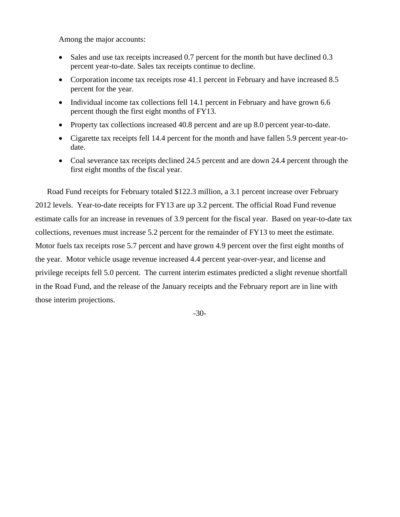Among the major accounts:

- Sales and use tax receipts increased 0.7 percent for the month but have declined 0.3 percent year-to-date. Sales tax receipts continue to decline.
- Corporation income tax receipts rose 41.1 percent in February and have increased 8.5 percent for the year.
- Individual income tax collections fell 14.1 percent in February and have grown 6.6 percent though the first eight months of FY13.
- Property tax collections increased 40.8 percent and are up 8.0 percent year-to-date.
- Cigarette tax receipts fell 14.4 percent for the month and have fallen 5.9 percent year-todate.
- Coal severance tax receipts declined 24.5 percent and are down 24.4 percent through the first eight months of the fiscal year.

Road Fund receipts for February totaled \$122.3 million, a 3.1 percent increase over February 2012 levels. Year-to-date receipts for FY13 are up 3.2 percent. The official Road Fund revenue estimate calls for an increase in revenues of 3.9 percent for the fiscal year. Based on year-to-date tax collections, revenues must increase 5.2 percent for the remainder of FY13 to meet the estimate. Motor fuels tax receipts rose 5.7 percent and have grown 4.9 percent over the first eight months of the year. Motor vehicle usage revenue increased 4.4 percent year-over-year, and license and privilege receipts fell 5.0 percent. The current interim estimates predicted a slight revenue shortfall in the Road Fund, and the release of the January receipts and the February report are in line with those interim projections.

-30-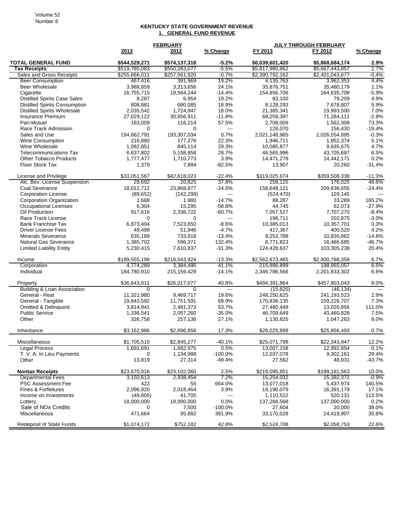## **KENTUCKY STATE GOVERNMENT REVENUE 1. GENERAL FUND REVENUE**

|                                      | <b>FEBRUARY</b> |               |                          | <b>JULY THROUGH FEBRUARY</b> |                 |          |  |
|--------------------------------------|-----------------|---------------|--------------------------|------------------------------|-----------------|----------|--|
|                                      | 2013            | 2012          | % Change                 | FY 2013                      | FY 2012         | % Change |  |
| <b>TOTAL GENERAL FUND</b>            | \$544.529.271   | \$574,137,318 | $-5.2%$                  | \$6,039,601,420              | \$5,868,684,174 | 2.9%     |  |
| <b>Tax Receipts</b>                  | \$519,785,083   | \$550,283,077 | $-5.5%$                  | \$5,817,980,862              | \$5,667,443,857 | 2.7%     |  |
| Sales and Gross Receipts             | \$255,666,011   | \$257,561,920 | $-0.7%$                  | \$2,390,792,162              | \$2,401,043,677 | $-0.4%$  |  |
| <b>Beer Consumption</b>              | 467,416         | 391,969       | 19.2%                    | 4,135,763                    | 3,962,353       | 4.4%     |  |
| Beer Wholesale                       | 3,988,859       | 3,213,656     | 24.1%                    | 35,876,751                   | 35,480,179      | 1.1%     |  |
| Cigarette                            | 16,755,715      | 19,564,244    | $-14.4%$                 | 154,856,706                  | 164,635,708     | $-5.9%$  |  |
| <b>Distilled Spirits Case Sales</b>  | 8,287           | 6,954         | 19.2%                    | 83,100                       | 79,209          | 4.9%     |  |
| <b>Distilled Spirits Consumption</b> | 808,881         | 680,085       | 18.9%                    | 8,128,293                    | 7,678,807       | 5.9%     |  |
| <b>Distilled Spirits Wholesale</b>   | 2,035,542       | 1,724,947     | 18.0%                    | 21,385,341                   | 19,993,500      | 7.0%     |  |
| <b>Insurance Premium</b>             | 27,029,122      | 30,656,911    | $-11.8%$                 | 69,259,397                   | 71,284,111      | $-2.8%$  |  |
| Pari-Mutuel                          | 183,009         | 116,214       | 57.5%                    | 2,708,006                    | 1,562,308       | 73.3%    |  |
| Race Track Admission                 | 0               | 0             | $\overline{\phantom{a}}$ | 126,070                      | 156,430         | $-19.4%$ |  |
| Sales and Use                        | 194,662,791     | 193,307,034   | 0.7%                     | 2,021,148,965                | 2,026,554,895   | $-0.3%$  |  |
| <b>Wine Consumption</b>              | 216,880         | 177,276       | 22.3%                    | 1,946,711                    | 1,852,374       | 5.1%     |  |
| Wine Wholesale                       | 1,092,851       | 845,114       | 29.3%                    | 10,085,877                   | 9,635,675       | 4.7%     |  |
| <b>Telecommunications Tax</b>        | 6,637,802       | 5,158,858     | 28.7%                    | 46,565,996                   | 43,705,697      | 6.5%     |  |
| <b>Other Tobacco Products</b>        | 1,777,477       | 1,710,773     | 3.9%                     | 14,471,278                   | 14,442,171      | 0.2%     |  |
| Floor Stock Tax                      | 1,379           | 7,884         | $-82.5%$                 | 13,907                       | 20,260          | $-31.4%$ |  |
| License and Privilege                | \$33,051,567    | \$42,618,023  | $-22.4%$                 | \$319,025,674                | \$359,508,338   | $-11.3%$ |  |
| Alc. Bev. License Suspension         | 28,692          | 20,825        | 37.8%                    | 258,125                      | 176.025         | 46.6%    |  |
| Coal Severance                       | 18,012,712      | 23,868,877    | $-24.5%$                 | 158,648,121                  | 209,836,655     | $-24.4%$ |  |
| <b>Corporation License</b>           | (89, 652)       | (142, 299)    | ---                      | (524, 470)                   | 129,145         | $-$      |  |
| <b>Corporation Organization</b>      | 1,688           | 1,980         | $-14.7%$                 | 88,287                       | 33,289          | 165.2%   |  |
| <b>Occupational Licenses</b>         | 6,304           | 15,295        | $-58.8%$                 | 44,745                       | 62,073          | $-27.9%$ |  |
| Oil Production                       | 917,616         | 2,336,722     | $-60.7%$                 | 7,057,527                    | 7,707,270       | $-8.4%$  |  |
| Race Track License                   | 0               | 0             | $\overline{\phantom{a}}$ | 196,711                      | 202,875         | $-3.0%$  |  |
| <b>Bank Franchise Tax</b>            | 6,873,404       | 7,523,650     | $-8.6%$                  | 10,385,013                   | 10,357,701      | 0.3%     |  |
| <b>Driver License Fees</b>           | 49,498          | 51,946        | $-4.7%$                  | 417,367                      | 400,520         | 4.2%     |  |
| <b>Minerals Severance</b>            | 635,189         | 733,818       | $-13.4%$                 | 9,253,788                    | 10,830,862      | $-14.6%$ |  |
| <b>Natural Gas Severance</b>         | 1,385,702       | 596,371       | 132.4%                   | 8,771,823                    | 16,466,685      | $-46.7%$ |  |
| <b>Limited Liability Entity</b>      | 5,230,415       | 7,610,837     | $-31.3%$                 | 124,428,637                  | 103,305,238     | 20.4%    |  |
| Income                               | \$189,555,199   | \$218,543,924 | $-13.3%$                 | \$2,562,673,465              | \$2,400,788,359 | 6.7%     |  |
| Corporation                          | 4,774,289       | 3,384,495     | 41.1%                    | 215,886,899                  | 198,955,057     | 8.5%     |  |
| Individual                           | 184,780,910     | 215,159,429   | $-14.1%$                 | 2,346,786,566                | 2,201,833,302   | 6.6%     |  |
| Property                             | \$36,643,811    | \$26,017,077  | 40.8%                    | \$494,391,864                | \$457,903,043   | 8.0%     |  |
| Building & Loan Association          | 0               | 0             | $---$                    | (15, 820)                    | (46, 134)       | $-$      |  |
| General - Real                       | 11,321,980      | 9,469,717     | 19.6%                    | 248,250,625                  | 241,193,523     | 2.9%     |  |
| General - Tangible                   | 19,843,592      | 11,751,591    | 68.9%                    | 170,836,135                  | 159,226,707     | 7.3%     |  |
| <b>Omitted &amp; Delinquent</b>      | 3,814,941       | 2,481,373     | 53.7%                    | 27,480,449                   | 13,020,856      | 111.0%   |  |
| <b>Public Service</b>                | 1,336,541       | 2,057,260     | $-35.0%$                 | 46,709,649                   | 43,460,828      | 7.5%     |  |
| Other                                | 326,758         | 257,136       | 27.1%                    | 1,130,825                    | 1,047,263       | 8.0%     |  |
| Inheritance                          | \$3,162,986     | \$2,696,856   | 17.3%                    | \$26,025,899                 | \$25,856,493    | 0.7%     |  |
| Miscellaneous                        | \$1,705,510     | \$2,845,277   | $-40.1%$                 | \$25,071,798                 | \$22,343,947    | 12.2%    |  |
| <b>Legal Process</b>                 | 1,691,691       | 1,682,975     | 0.5%                     | 13,007,158                   | 12,992,854      | 0.1%     |  |
| T. V. A. In Lieu Payments            | 0               | 1,134,988     | $-100.0%$                | 12,037,078                   | 9,302,161       | 29.4%    |  |
| Other                                | 13,819          | 27,314        | $-49.4%$                 | 27,562                       | 48,931          | $-43.7%$ |  |
| <b>Nontax Receipts</b>               | \$23,670,016    | \$23,102,060  | 2.5%                     | \$219,095,851                | \$199,181,563   | 10.0%    |  |
| <b>Departmental Fees</b>             | 3,150,613       | 2,938,454     | 7.2%                     | 15,254,032                   | 15,392,372      | $-0.9%$  |  |
| <b>PSC Assessment Fee</b>            | 422             | 55            | 664.0%                   | 13,077,018                   | 5,437,974       | 140.5%   |  |
| Fines & Forfeitures                  | 2,096,920       | 2,018,464     | 3.9%                     | 19,190,079                   | 16,391,179      | 17.1%    |  |
| Income on Investments                | (49,605)        | 41,705        | $\qquad \qquad \cdots$   | 1,110,522                    | 520,131         | 113.5%   |  |
| Lottery                              | 18,000,000      | 18,000,000    | 0.0%                     | 137,266,568                  | 137,000,000     | 0.2%     |  |
| Sale of NO <sub>x</sub> Credits      | 0               | 7,500         | $-100.0%$                | 27,604                       | 20,000          | 38.0%    |  |
| Miscellaneous                        | 471,664         | 95,882        | 391.9%                   | 33,170,028                   | 24,419,907      | 35.8%    |  |
| Redeposit of State Funds             | \$1,074,172     | \$752,182     | 42.8%                    | \$2,524,708                  | \$2,058,753     | 22.6%    |  |